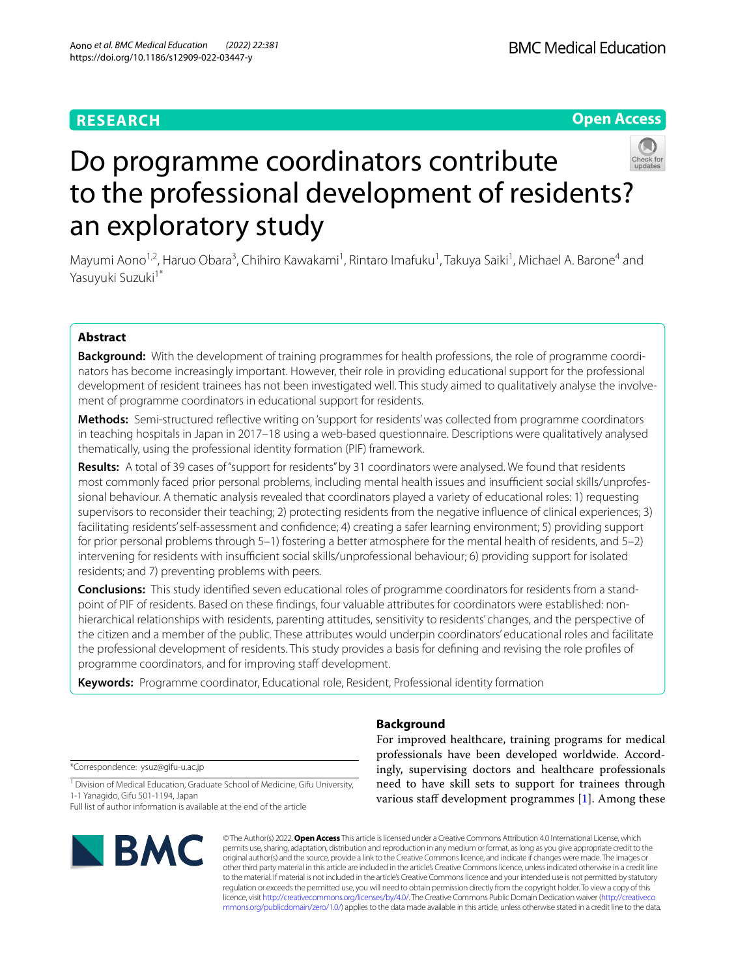# **RESEARCH**

# **Open Access**



# Do programme coordinators contribute to the professional development of residents? an exploratory study

Mayumi Aono<sup>1,2</sup>, Haruo Obara<sup>3</sup>, Chihiro Kawakami<sup>1</sup>, Rintaro Imafuku<sup>1</sup>, Takuya Saiki<sup>1</sup>, Michael A. Barone<sup>4</sup> and Yasuyuki Suzuki<sup>1\*</sup>

# **Abstract**

**Background:** With the development of training programmes for health professions, the role of programme coordinators has become increasingly important. However, their role in providing educational support for the professional development of resident trainees has not been investigated well. This study aimed to qualitatively analyse the involvement of programme coordinators in educational support for residents.

**Methods:** Semi-structured refective writing on 'support for residents' was collected from programme coordinators in teaching hospitals in Japan in 2017–18 using a web-based questionnaire. Descriptions were qualitatively analysed thematically, using the professional identity formation (PIF) framework.

**Results:** A total of 39 cases of "support for residents" by 31 coordinators were analysed. We found that residents most commonly faced prior personal problems, including mental health issues and insufficient social skills/unprofessional behaviour. A thematic analysis revealed that coordinators played a variety of educational roles: 1) requesting supervisors to reconsider their teaching; 2) protecting residents from the negative infuence of clinical experiences; 3) facilitating residents' self-assessment and confdence; 4) creating a safer learning environment; 5) providing support for prior personal problems through 5–1) fostering a better atmosphere for the mental health of residents, and 5–2) intervening for residents with insufficient social skills/unprofessional behaviour; 6) providing support for isolated residents; and 7) preventing problems with peers.

**Conclusions:** This study identifed seven educational roles of programme coordinators for residents from a standpoint of PIF of residents. Based on these fndings, four valuable attributes for coordinators were established: nonhierarchical relationships with residents, parenting attitudes, sensitivity to residents' changes, and the perspective of the citizen and a member of the public. These attributes would underpin coordinators' educational roles and facilitate the professional development of residents. This study provides a basis for defning and revising the role profles of programme coordinators, and for improving staff development.

**Keywords:** Programme coordinator, Educational role, Resident, Professional identity formation

\*Correspondence: ysuz@gifu-u.ac.jp

<sup>1</sup> Division of Medical Education, Graduate School of Medicine, Gifu University, 1-1 Yanagido, Gifu 501-1194, Japan

Full list of author information is available at the end of the article



For improved healthcare, training programs for medical professionals have been developed worldwide. Accordingly, supervising doctors and healthcare professionals need to have skill sets to support for trainees through various staff development programmes  $[1]$  $[1]$ . Among these

© The Author(s) 2022. **Open Access** This article is licensed under a Creative Commons Attribution 4.0 International License, which permits use, sharing, adaptation, distribution and reproduction in any medium or format, as long as you give appropriate credit to the original author(s) and the source, provide a link to the Creative Commons licence, and indicate if changes were made. The images or other third party material in this article are included in the article's Creative Commons licence, unless indicated otherwise in a credit line to the material. If material is not included in the article's Creative Commons licence and your intended use is not permitted by statutory regulation or exceeds the permitted use, you will need to obtain permission directly from the copyright holder. To view a copy of this licence, visit [http://creativecommons.org/licenses/by/4.0/.](http://creativecommons.org/licenses/by/4.0/) The Creative Commons Public Domain Dedication waiver ([http://creativeco](http://creativecommons.org/publicdomain/zero/1.0/) [mmons.org/publicdomain/zero/1.0/](http://creativecommons.org/publicdomain/zero/1.0/)) applies to the data made available in this article, unless otherwise stated in a credit line to the data.

# **Background**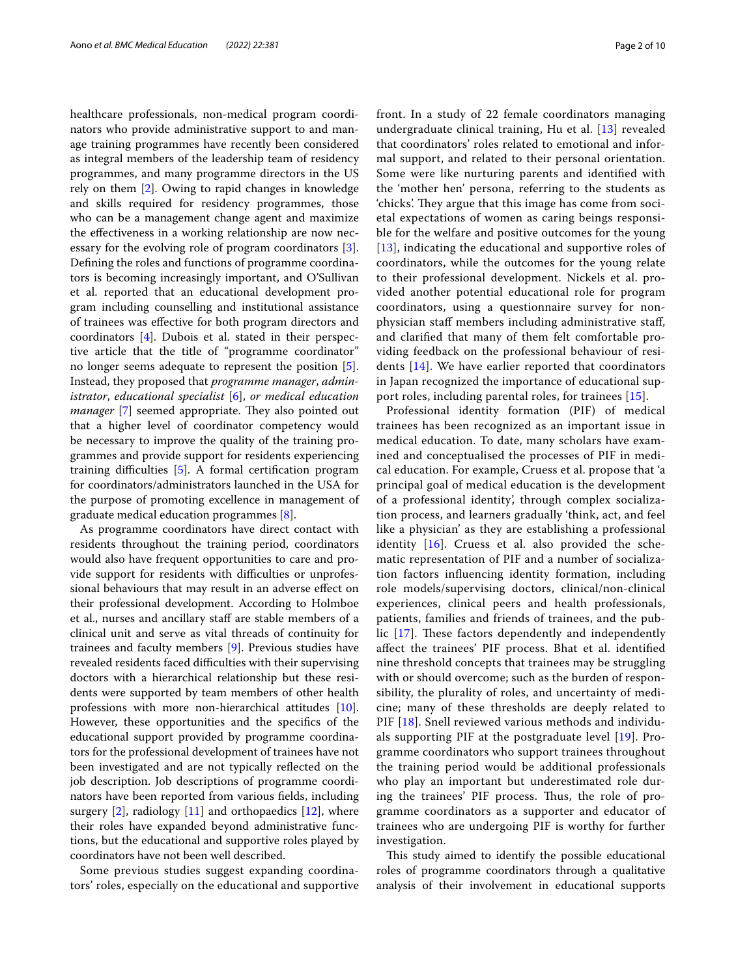healthcare professionals, non-medical program coordinators who provide administrative support to and manage training programmes have recently been considered as integral members of the leadership team of residency programmes, and many programme directors in the US rely on them [\[2](#page-8-1)]. Owing to rapid changes in knowledge and skills required for residency programmes, those who can be a management change agent and maximize the efectiveness in a working relationship are now necessary for the evolving role of program coordinators [\[3](#page-8-2)]. Defning the roles and functions of programme coordinators is becoming increasingly important, and O'Sullivan et al. reported that an educational development program including counselling and institutional assistance of trainees was efective for both program directors and coordinators  $[4]$  $[4]$ . Dubois et al. stated in their perspective article that the title of "programme coordinator" no longer seems adequate to represent the position [\[5](#page-8-4)]. Instead, they proposed that *programme manager*, *administrator*, *educational specialist* [\[6](#page-8-5)], *or medical education manager* [\[7\]](#page-8-6) seemed appropriate. They also pointed out that a higher level of coordinator competency would be necessary to improve the quality of the training programmes and provide support for residents experiencing training difficulties [[5\]](#page-8-4). A formal certification program for coordinators/administrators launched in the USA for the purpose of promoting excellence in management of graduate medical education programmes [[8](#page-8-7)].

As programme coordinators have direct contact with residents throughout the training period, coordinators would also have frequent opportunities to care and provide support for residents with difficulties or unprofessional behaviours that may result in an adverse efect on their professional development. According to Holmboe et al., nurses and ancillary staf are stable members of a clinical unit and serve as vital threads of continuity for trainees and faculty members [\[9](#page-8-8)]. Previous studies have revealed residents faced difficulties with their supervising doctors with a hierarchical relationship but these residents were supported by team members of other health professions with more non-hierarchical attitudes [\[10](#page-8-9)]. However, these opportunities and the specifcs of the educational support provided by programme coordinators for the professional development of trainees have not been investigated and are not typically refected on the job description. Job descriptions of programme coordinators have been reported from various felds, including surgery  $[2]$  $[2]$ , radiology  $[11]$  $[11]$  and orthopaedics  $[12]$ , where their roles have expanded beyond administrative functions, but the educational and supportive roles played by coordinators have not been well described.

Some previous studies suggest expanding coordinators' roles, especially on the educational and supportive front. In a study of 22 female coordinators managing undergraduate clinical training, Hu et al. [[13\]](#page-8-12) revealed that coordinators' roles related to emotional and informal support, and related to their personal orientation. Some were like nurturing parents and identifed with the 'mother hen' persona, referring to the students as 'chicks'. They argue that this image has come from societal expectations of women as caring beings responsible for the welfare and positive outcomes for the young [[13](#page-8-12)], indicating the educational and supportive roles of coordinators, while the outcomes for the young relate to their professional development. Nickels et al. provided another potential educational role for program coordinators, using a questionnaire survey for nonphysician staff members including administrative staff, and clarifed that many of them felt comfortable providing feedback on the professional behaviour of residents [\[14\]](#page-8-13). We have earlier reported that coordinators in Japan recognized the importance of educational support roles, including parental roles, for trainees [[15\]](#page-8-14).

Professional identity formation (PIF) of medical trainees has been recognized as an important issue in medical education. To date, many scholars have examined and conceptualised the processes of PIF in medical education. For example, Cruess et al. propose that 'a principal goal of medical education is the development of a professional identity', through complex socialization process, and learners gradually 'think, act, and feel like a physician' as they are establishing a professional identity [\[16](#page-8-15)]. Cruess et al. also provided the schematic representation of PIF and a number of socialization factors infuencing identity formation, including role models/supervising doctors, clinical/non-clinical experiences, clinical peers and health professionals, patients, families and friends of trainees, and the public  $[17]$  $[17]$  $[17]$ . These factors dependently and independently afect the trainees' PIF process. Bhat et al. identifed nine threshold concepts that trainees may be struggling with or should overcome; such as the burden of responsibility, the plurality of roles, and uncertainty of medicine; many of these thresholds are deeply related to PIF [\[18\]](#page-8-17). Snell reviewed various methods and individuals supporting PIF at the postgraduate level [[19\]](#page-8-18). Programme coordinators who support trainees throughout the training period would be additional professionals who play an important but underestimated role during the trainees' PIF process. Thus, the role of programme coordinators as a supporter and educator of trainees who are undergoing PIF is worthy for further investigation.

This study aimed to identify the possible educational roles of programme coordinators through a qualitative analysis of their involvement in educational supports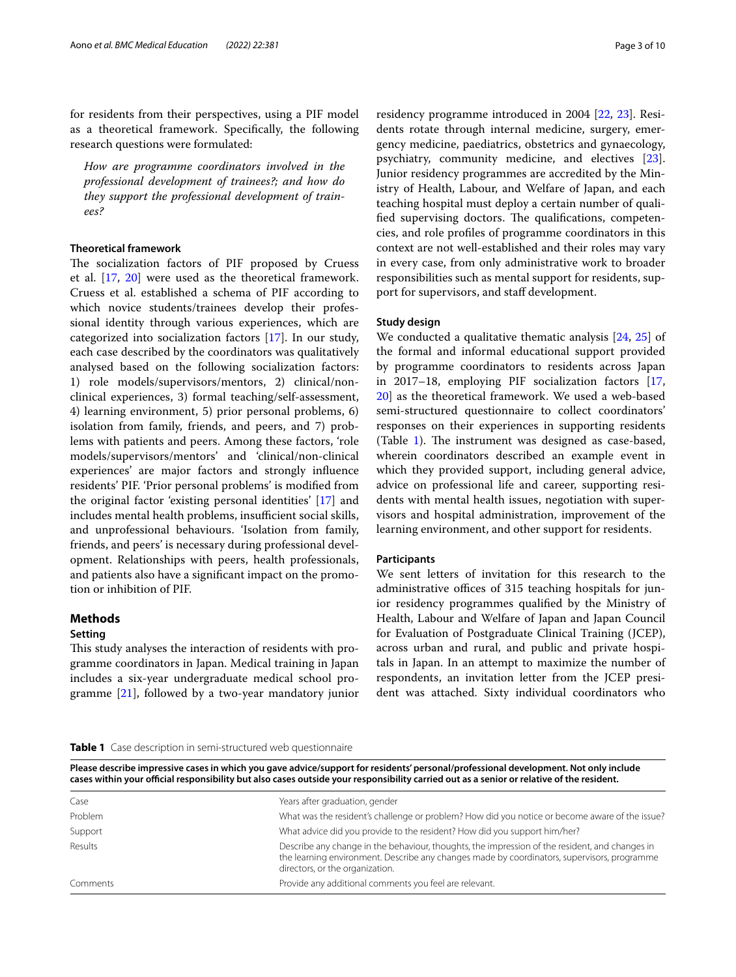for residents from their perspectives, using a PIF model as a theoretical framework. Specifcally, the following research questions were formulated:

*How are programme coordinators involved in the professional development of trainees?; and how do they support the professional development of trainees?*

# **Theoretical framework**

The socialization factors of PIF proposed by Cruess et al. [\[17](#page-8-16), [20](#page-8-19)] were used as the theoretical framework. Cruess et al. established a schema of PIF according to which novice students/trainees develop their professional identity through various experiences, which are categorized into socialization factors [\[17](#page-8-16)]. In our study, each case described by the coordinators was qualitatively analysed based on the following socialization factors: 1) role models/supervisors/mentors, 2) clinical/nonclinical experiences, 3) formal teaching/self-assessment, 4) learning environment, 5) prior personal problems, 6) isolation from family, friends, and peers, and 7) problems with patients and peers. Among these factors, 'role models/supervisors/mentors' and 'clinical/non-clinical experiences' are major factors and strongly infuence residents' PIF. 'Prior personal problems' is modifed from the original factor 'existing personal identities' [[17](#page-8-16)] and includes mental health problems, insufficient social skills, and unprofessional behaviours. 'Isolation from family, friends, and peers' is necessary during professional development. Relationships with peers, health professionals, and patients also have a signifcant impact on the promotion or inhibition of PIF.

# **Methods**

#### **Setting**

This study analyses the interaction of residents with programme coordinators in Japan. Medical training in Japan includes a six-year undergraduate medical school programme [[21](#page-8-20)], followed by a two-year mandatory junior residency programme introduced in 2004 [\[22,](#page-8-21) [23](#page-8-22)]. Residents rotate through internal medicine, surgery, emergency medicine, paediatrics, obstetrics and gynaecology, psychiatry, community medicine, and electives [\[23](#page-8-22)]. Junior residency programmes are accredited by the Ministry of Health, Labour, and Welfare of Japan, and each teaching hospital must deploy a certain number of qualified supervising doctors. The qualifications, competencies, and role profles of programme coordinators in this context are not well-established and their roles may vary in every case, from only administrative work to broader responsibilities such as mental support for residents, support for supervisors, and staff development.

## **Study design**

We conducted a qualitative thematic analysis [[24,](#page-8-23) [25](#page-8-24)] of the formal and informal educational support provided by programme coordinators to residents across Japan in 2017–18, employing PIF socialization factors [[17](#page-8-16), [20\]](#page-8-19) as the theoretical framework. We used a web-based semi-structured questionnaire to collect coordinators' responses on their experiences in supporting residents (Table  $1$ ). The instrument was designed as case-based, wherein coordinators described an example event in which they provided support, including general advice, advice on professional life and career, supporting residents with mental health issues, negotiation with supervisors and hospital administration, improvement of the learning environment, and other support for residents.

#### **Participants**

We sent letters of invitation for this research to the administrative offices of 315 teaching hospitals for junior residency programmes qualifed by the Ministry of Health, Labour and Welfare of Japan and Japan Council for Evaluation of Postgraduate Clinical Training (JCEP), across urban and rural, and public and private hospitals in Japan. In an attempt to maximize the number of respondents, an invitation letter from the JCEP president was attached. Sixty individual coordinators who

#### <span id="page-2-0"></span>**Table 1** Case description in semi-structured web questionnaire

**Please describe impressive cases in which you gave advice/support for residents' personal/professional development. Not only include cases within your ofcial responsibility but also cases outside your responsibility carried out as a senior or relative of the resident.**

| Case     | Years after graduation, gender                                                                                                                                                                                                   |
|----------|----------------------------------------------------------------------------------------------------------------------------------------------------------------------------------------------------------------------------------|
| Problem  | What was the resident's challenge or problem? How did you notice or become aware of the issue?                                                                                                                                   |
| Support  | What advice did you provide to the resident? How did you support him/her?                                                                                                                                                        |
| Results  | Describe any change in the behaviour, thoughts, the impression of the resident, and changes in<br>the learning environment. Describe any changes made by coordinators, supervisors, programme<br>directors, or the organization. |
| Comments | Provide any additional comments you feel are relevant.                                                                                                                                                                           |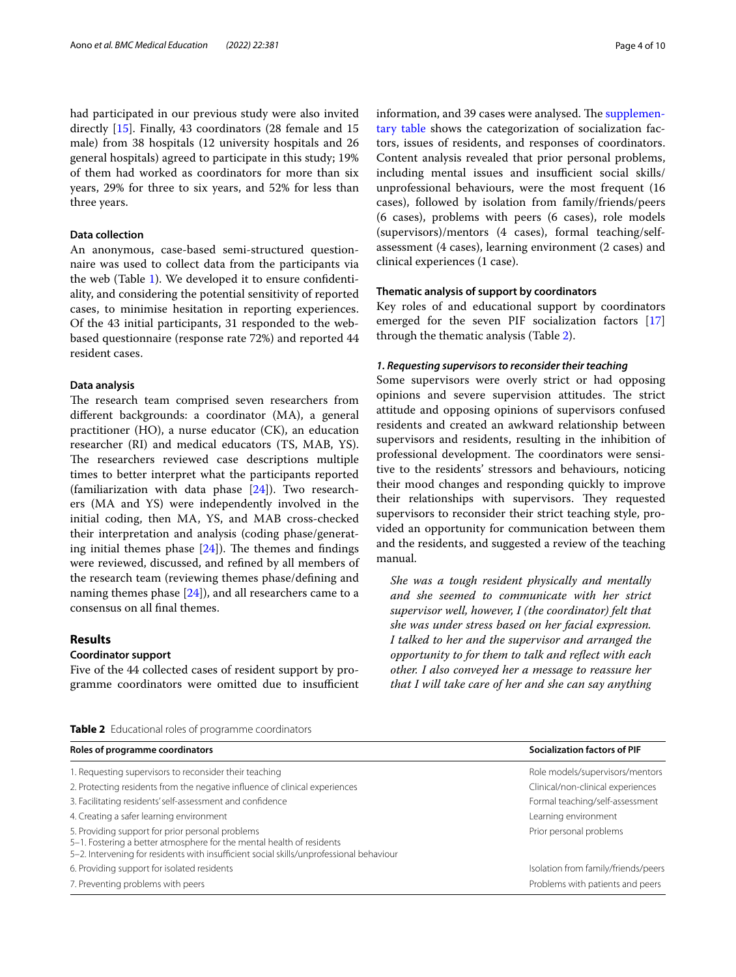had participated in our previous study were also invited directly [\[15](#page-8-14)]. Finally, 43 coordinators (28 female and 15 male) from 38 hospitals (12 university hospitals and 26 general hospitals) agreed to participate in this study; 19% of them had worked as coordinators for more than six years, 29% for three to six years, and 52% for less than three years.

# **Data collection**

An anonymous, case-based semi-structured questionnaire was used to collect data from the participants via the web (Table [1\)](#page-2-0). We developed it to ensure confdentiality, and considering the potential sensitivity of reported cases, to minimise hesitation in reporting experiences. Of the 43 initial participants, 31 responded to the webbased questionnaire (response rate 72%) and reported 44 resident cases.

# **Data analysis**

The research team comprised seven researchers from diferent backgrounds: a coordinator (MA), a general practitioner (HO), a nurse educator (CK), an education researcher (RI) and medical educators (TS, MAB, YS). The researchers reviewed case descriptions multiple times to better interpret what the participants reported (familiarization with data phase  $[24]$  $[24]$ ). Two researchers (MA and YS) were independently involved in the initial coding, then MA, YS, and MAB cross-checked their interpretation and analysis (coding phase/generating initial themes phase  $[24]$  $[24]$ ). The themes and findings were reviewed, discussed, and refned by all members of the research team (reviewing themes phase/defning and naming themes phase [\[24](#page-8-23)]), and all researchers came to a consensus on all fnal themes.

# **Results**

# **Coordinator support**

Five of the 44 collected cases of resident support by programme coordinators were omitted due to insufficient

information, and 39 cases were analysed. The [supplemen](#page-7-0)[tary table](#page-7-0) shows the categorization of socialization factors, issues of residents, and responses of coordinators. Content analysis revealed that prior personal problems, including mental issues and insufficient social skills/ unprofessional behaviours, were the most frequent (16 cases), followed by isolation from family/friends/peers (6 cases), problems with peers (6 cases), role models (supervisors)/mentors (4 cases), formal teaching/selfassessment (4 cases), learning environment (2 cases) and clinical experiences (1 case).

## **Thematic analysis of support by coordinators**

Key roles of and educational support by coordinators emerged for the seven PIF socialization factors [[17](#page-8-16)] through the thematic analysis (Table [2](#page-3-0)).

#### *1. Requesting supervisors to reconsider their teaching*

Some supervisors were overly strict or had opposing opinions and severe supervision attitudes. The strict attitude and opposing opinions of supervisors confused residents and created an awkward relationship between supervisors and residents, resulting in the inhibition of professional development. The coordinators were sensitive to the residents' stressors and behaviours, noticing their mood changes and responding quickly to improve their relationships with supervisors. They requested supervisors to reconsider their strict teaching style, provided an opportunity for communication between them and the residents, and suggested a review of the teaching manual.

*She was a tough resident physically and mentally and she seemed to communicate with her strict supervisor well, however, I (the coordinator) felt that she was under stress based on her facial expression. I talked to her and the supervisor and arranged the opportunity to for them to talk and refect with each other. I also conveyed her a message to reassure her that I will take care of her and she can say anything* 

<span id="page-3-0"></span>**Table 2** Educational roles of programme coordinators

| Roles of programme coordinators                                                                                                                                                                                      | <b>Socialization factors of PIF</b> |  |
|----------------------------------------------------------------------------------------------------------------------------------------------------------------------------------------------------------------------|-------------------------------------|--|
| 1. Requesting supervisors to reconsider their teaching                                                                                                                                                               | Role models/supervisors/mentors     |  |
| 2. Protecting residents from the negative influence of clinical experiences                                                                                                                                          | Clinical/non-clinical experiences   |  |
| 3. Facilitating residents' self-assessment and confidence                                                                                                                                                            | Formal teaching/self-assessment     |  |
| 4. Creating a safer learning environment                                                                                                                                                                             | Learning environment                |  |
| 5. Providing support for prior personal problems<br>5-1. Fostering a better atmosphere for the mental health of residents<br>5-2. Intervening for residents with insufficient social skills/unprofessional behaviour | Prior personal problems             |  |
| 6. Providing support for isolated residents                                                                                                                                                                          | Isolation from family/friends/peers |  |
| 7. Preventing problems with peers                                                                                                                                                                                    | Problems with patients and peers    |  |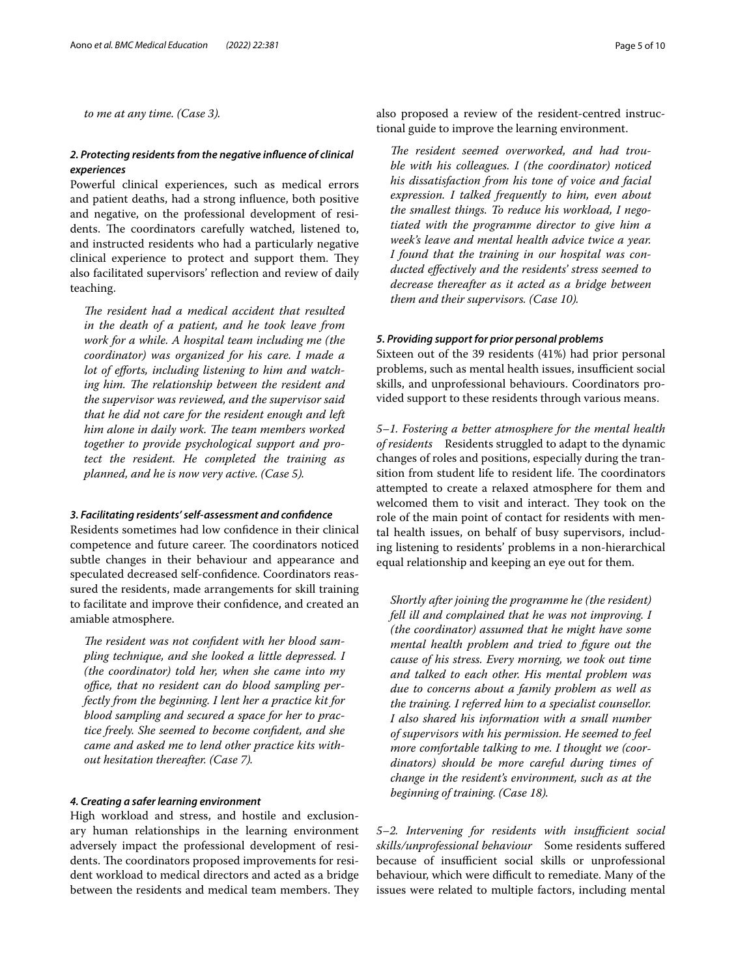*to me at any time. (Case 3).*

# *2. Protecting residents from the negative infuence of clinical experiences*

Powerful clinical experiences, such as medical errors and patient deaths, had a strong infuence, both positive and negative, on the professional development of residents. The coordinators carefully watched, listened to, and instructed residents who had a particularly negative clinical experience to protect and support them. They also facilitated supervisors' refection and review of daily teaching.

The resident had a medical accident that resulted *in the death of a patient, and he took leave from work for a while. A hospital team including me (the coordinator) was organized for his care. I made a lot of eforts, including listening to him and watch*ing him. The relationship between the resident and *the supervisor was reviewed, and the supervisor said that he did not care for the resident enough and left*  him alone in daily work. The team members worked *together to provide psychological support and protect the resident. He completed the training as planned, and he is now very active. (Case 5).*

#### *3. Facilitating residents' self‑assessment and confdence*

Residents sometimes had low confdence in their clinical competence and future career. The coordinators noticed subtle changes in their behaviour and appearance and speculated decreased self-confdence. Coordinators reassured the residents, made arrangements for skill training to facilitate and improve their confdence, and created an amiable atmosphere.

The resident was not confident with her blood sam*pling technique, and she looked a little depressed. I (the coordinator) told her, when she came into my*  office, that no resident can do blood sampling per*fectly from the beginning. I lent her a practice kit for blood sampling and secured a space for her to practice freely. She seemed to become confdent, and she came and asked me to lend other practice kits without hesitation thereafter. (Case 7).*

# *4. Creating a safer learning environment*

High workload and stress, and hostile and exclusionary human relationships in the learning environment adversely impact the professional development of residents. The coordinators proposed improvements for resident workload to medical directors and acted as a bridge between the residents and medical team members. They also proposed a review of the resident-centred instructional guide to improve the learning environment.

The resident seemed overworked, and had trou*ble with his colleagues. I (the coordinator) noticed his dissatisfaction from his tone of voice and facial expression. I talked frequently to him, even about the smallest things. To reduce his workload, I negotiated with the programme director to give him a week's leave and mental health advice twice a year. I found that the training in our hospital was conducted efectively and the residents' stress seemed to decrease thereafter as it acted as a bridge between them and their supervisors. (Case 10).*

## *5. Providing support for prior personal problems*

Sixteen out of the 39 residents (41%) had prior personal problems, such as mental health issues, insufficient social skills, and unprofessional behaviours. Coordinators provided support to these residents through various means.

*5–1. Fostering a better atmosphere for the mental health of residents* Residents struggled to adapt to the dynamic changes of roles and positions, especially during the transition from student life to resident life. The coordinators attempted to create a relaxed atmosphere for them and welcomed them to visit and interact. They took on the role of the main point of contact for residents with mental health issues, on behalf of busy supervisors, including listening to residents' problems in a non-hierarchical equal relationship and keeping an eye out for them.

*Shortly after joining the programme he (the resident) fell ill and complained that he was not improving. I (the coordinator) assumed that he might have some mental health problem and tried to fgure out the cause of his stress. Every morning, we took out time and talked to each other. His mental problem was due to concerns about a family problem as well as the training. I referred him to a specialist counsellor. I also shared his information with a small number of supervisors with his permission. He seemed to feel more comfortable talking to me. I thought we (coordinators) should be more careful during times of change in the resident's environment, such as at the beginning of training. (Case 18).*

*5–2. Intervening for residents with insufcient social skills/unprofessional behaviour* Some residents sufered because of insufficient social skills or unprofessional behaviour, which were difficult to remediate. Many of the issues were related to multiple factors, including mental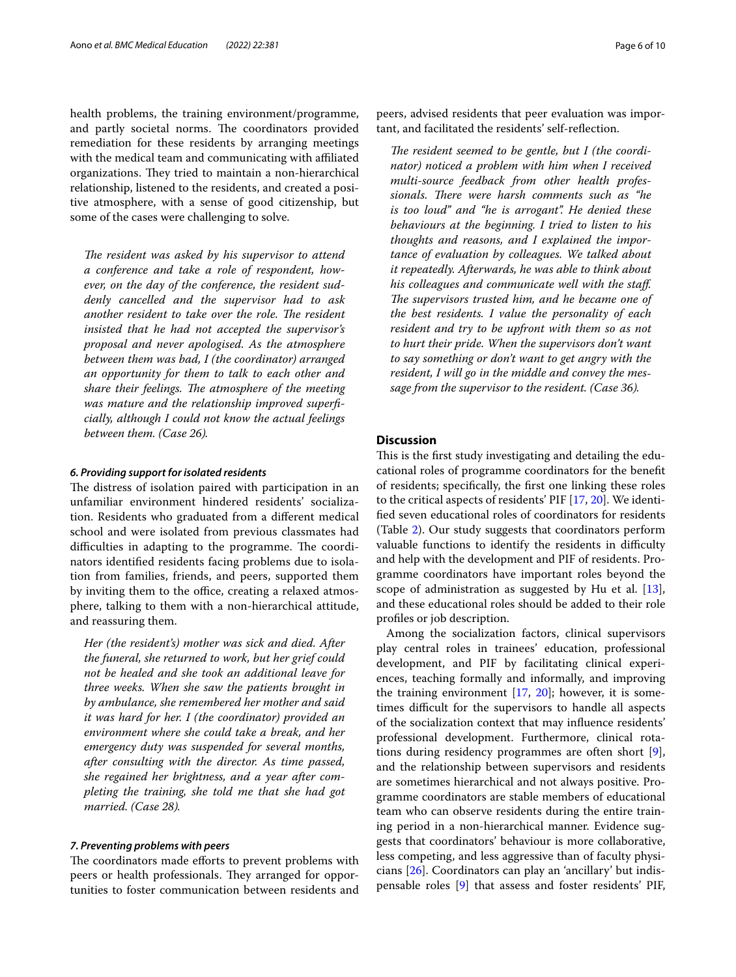health problems, the training environment/programme, and partly societal norms. The coordinators provided remediation for these residents by arranging meetings with the medical team and communicating with affiliated organizations. They tried to maintain a non-hierarchical relationship, listened to the residents, and created a positive atmosphere, with a sense of good citizenship, but some of the cases were challenging to solve.

The resident was asked by his supervisor to attend *a conference and take a role of respondent, however, on the day of the conference, the resident suddenly cancelled and the supervisor had to ask*  another resident to take over the role. The resident *insisted that he had not accepted the supervisor's proposal and never apologised. As the atmosphere between them was bad, I (the coordinator) arranged an opportunity for them to talk to each other and*  share their feelings. The atmosphere of the meeting *was mature and the relationship improved superfcially, although I could not know the actual feelings between them. (Case 26).*

# *6. Providing support for isolated residents*

The distress of isolation paired with participation in an unfamiliar environment hindered residents' socialization. Residents who graduated from a diferent medical school and were isolated from previous classmates had difficulties in adapting to the programme. The coordinators identifed residents facing problems due to isolation from families, friends, and peers, supported them by inviting them to the office, creating a relaxed atmosphere, talking to them with a non-hierarchical attitude, and reassuring them.

*Her (the resident's) mother was sick and died. After the funeral, she returned to work, but her grief could not be healed and she took an additional leave for three weeks. When she saw the patients brought in by ambulance, she remembered her mother and said it was hard for her. I (the coordinator) provided an environment where she could take a break, and her emergency duty was suspended for several months, after consulting with the director. As time passed, she regained her brightness, and a year after completing the training, she told me that she had got married. (Case 28).*

## *7. Preventing problems with peers*

The coordinators made efforts to prevent problems with peers or health professionals. They arranged for opportunities to foster communication between residents and peers, advised residents that peer evaluation was important, and facilitated the residents' self-refection.

The resident seemed to be gentle, but I (the coordi*nator) noticed a problem with him when I received multi-source feedback from other health profes*sionals. There were harsh comments such as "he *is too loud" and "he is arrogant". He denied these behaviours at the beginning. I tried to listen to his thoughts and reasons, and I explained the importance of evaluation by colleagues. We talked about it repeatedly. Afterwards, he was able to think about his colleagues and communicate well with the staf. The supervisors trusted him, and he became one of the best residents. I value the personality of each resident and try to be upfront with them so as not to hurt their pride. When the supervisors don't want to say something or don't want to get angry with the resident, I will go in the middle and convey the message from the supervisor to the resident. (Case 36).*

# **Discussion**

This is the first study investigating and detailing the educational roles of programme coordinators for the beneft of residents; specifcally, the frst one linking these roles to the critical aspects of residents' PIF [[17,](#page-8-16) [20\]](#page-8-19). We identifed seven educational roles of coordinators for residents (Table [2](#page-3-0)). Our study suggests that coordinators perform valuable functions to identify the residents in difficulty and help with the development and PIF of residents. Programme coordinators have important roles beyond the scope of administration as suggested by Hu et al. [\[13](#page-8-12)], and these educational roles should be added to their role profles or job description.

Among the socialization factors, clinical supervisors play central roles in trainees' education, professional development, and PIF by facilitating clinical experiences, teaching formally and informally, and improving the training environment  $[17, 20]$  $[17, 20]$  $[17, 20]$  $[17, 20]$ ; however, it is sometimes difficult for the supervisors to handle all aspects of the socialization context that may infuence residents' professional development. Furthermore, clinical rotations during residency programmes are often short [\[9](#page-8-8)], and the relationship between supervisors and residents are sometimes hierarchical and not always positive. Programme coordinators are stable members of educational team who can observe residents during the entire training period in a non-hierarchical manner. Evidence suggests that coordinators' behaviour is more collaborative, less competing, and less aggressive than of faculty physicians [[26](#page-8-25)]. Coordinators can play an 'ancillary' but indispensable roles [[9\]](#page-8-8) that assess and foster residents' PIF,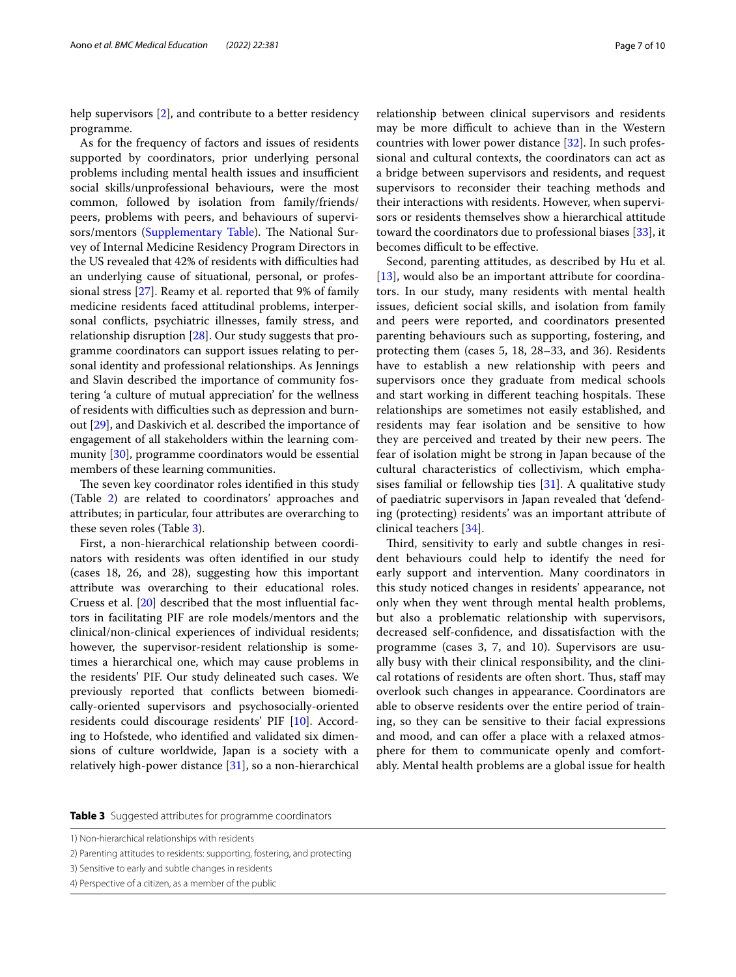help supervisors [[2\]](#page-8-1), and contribute to a better residency programme.

As for the frequency of factors and issues of residents supported by coordinators, prior underlying personal problems including mental health issues and insufficient social skills/unprofessional behaviours, were the most common, followed by isolation from family/friends/ peers, problems with peers, and behaviours of supervi-sors/mentors ([Supplementary Table\)](#page-7-0). The National Survey of Internal Medicine Residency Program Directors in the US revealed that 42% of residents with difficulties had an underlying cause of situational, personal, or professional stress [\[27\]](#page-8-26). Reamy et al. reported that 9% of family medicine residents faced attitudinal problems, interpersonal conficts, psychiatric illnesses, family stress, and relationship disruption [\[28\]](#page-8-27). Our study suggests that programme coordinators can support issues relating to personal identity and professional relationships. As Jennings and Slavin described the importance of community fostering 'a culture of mutual appreciation' for the wellness of residents with difficulties such as depression and burnout [[29\]](#page-8-28), and Daskivich et al. described the importance of engagement of all stakeholders within the learning community [[30\]](#page-8-29), programme coordinators would be essential members of these learning communities.

The seven key coordinator roles identified in this study (Table [2](#page-3-0)) are related to coordinators' approaches and attributes; in particular, four attributes are overarching to these seven roles (Table [3\)](#page-6-0).

First, a non-hierarchical relationship between coordinators with residents was often identifed in our study (cases 18, 26, and 28), suggesting how this important attribute was overarching to their educational roles. Cruess et al. [[20](#page-8-19)] described that the most infuential factors in facilitating PIF are role models/mentors and the clinical/non-clinical experiences of individual residents; however, the supervisor-resident relationship is sometimes a hierarchical one, which may cause problems in the residents' PIF. Our study delineated such cases. We previously reported that conficts between biomedically-oriented supervisors and psychosocially-oriented residents could discourage residents' PIF [[10\]](#page-8-9). According to Hofstede, who identifed and validated six dimensions of culture worldwide, Japan is a society with a relatively high-power distance [\[31\]](#page-9-0), so a non-hierarchical relationship between clinical supervisors and residents may be more difficult to achieve than in the Western countries with lower power distance [\[32](#page-9-1)]. In such professional and cultural contexts, the coordinators can act as a bridge between supervisors and residents, and request supervisors to reconsider their teaching methods and their interactions with residents. However, when supervisors or residents themselves show a hierarchical attitude toward the coordinators due to professional biases [\[33\]](#page-9-2), it becomes difficult to be effective.

Second, parenting attitudes, as described by Hu et al. [[13\]](#page-8-12), would also be an important attribute for coordinators. In our study, many residents with mental health issues, defcient social skills, and isolation from family and peers were reported, and coordinators presented parenting behaviours such as supporting, fostering, and protecting them (cases 5, 18, 28–33, and 36). Residents have to establish a new relationship with peers and supervisors once they graduate from medical schools and start working in different teaching hospitals. These relationships are sometimes not easily established, and residents may fear isolation and be sensitive to how they are perceived and treated by their new peers. The fear of isolation might be strong in Japan because of the cultural characteristics of collectivism, which emphasises familial or fellowship ties  $[31]$  $[31]$ . A qualitative study of paediatric supervisors in Japan revealed that 'defending (protecting) residents' was an important attribute of clinical teachers [[34\]](#page-9-3).

Third, sensitivity to early and subtle changes in resident behaviours could help to identify the need for early support and intervention. Many coordinators in this study noticed changes in residents' appearance, not only when they went through mental health problems, but also a problematic relationship with supervisors, decreased self-confdence, and dissatisfaction with the programme (cases 3, 7, and 10). Supervisors are usually busy with their clinical responsibility, and the clinical rotations of residents are often short. Thus, staff may overlook such changes in appearance. Coordinators are able to observe residents over the entire period of training, so they can be sensitive to their facial expressions and mood, and can offer a place with a relaxed atmosphere for them to communicate openly and comfortably. Mental health problems are a global issue for health

<span id="page-6-0"></span>**Table 3** Suggested attributes for programme coordinators

<sup>1)</sup> Non-hierarchical relationships with residents

<sup>2)</sup> Parenting attitudes to residents: supporting, fostering, and protecting

<sup>3)</sup> Sensitive to early and subtle changes in residents

<sup>4)</sup> Perspective of a citizen, as a member of the public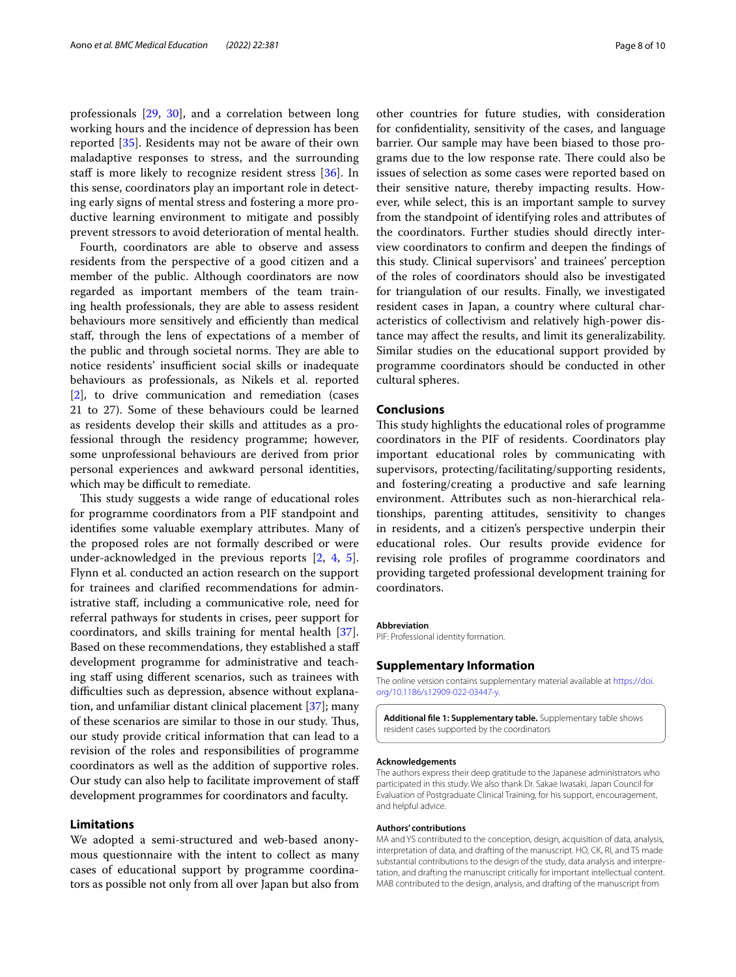professionals [\[29](#page-8-28), [30\]](#page-8-29), and a correlation between long working hours and the incidence of depression has been reported [\[35](#page-9-4)]. Residents may not be aware of their own maladaptive responses to stress, and the surrounding staff is more likely to recognize resident stress [[36](#page-9-5)]. In this sense, coordinators play an important role in detecting early signs of mental stress and fostering a more productive learning environment to mitigate and possibly prevent stressors to avoid deterioration of mental health.

Fourth, coordinators are able to observe and assess residents from the perspective of a good citizen and a member of the public. Although coordinators are now regarded as important members of the team training health professionals, they are able to assess resident behaviours more sensitively and efficiently than medical staf, through the lens of expectations of a member of the public and through societal norms. They are able to notice residents' insufficient social skills or inadequate behaviours as professionals, as Nikels et al. reported [[2\]](#page-8-1), to drive communication and remediation (cases 21 to 27). Some of these behaviours could be learned as residents develop their skills and attitudes as a professional through the residency programme; however, some unprofessional behaviours are derived from prior personal experiences and awkward personal identities, which may be difficult to remediate.

This study suggests a wide range of educational roles for programme coordinators from a PIF standpoint and identifes some valuable exemplary attributes. Many of the proposed roles are not formally described or were under-acknowledged in the previous reports [\[2](#page-8-1), [4](#page-8-3), [5](#page-8-4)]. Flynn et al. conducted an action research on the support for trainees and clarifed recommendations for administrative staf, including a communicative role, need for referral pathways for students in crises, peer support for coordinators, and skills training for mental health [\[37](#page-9-6)]. Based on these recommendations, they established a staf development programme for administrative and teaching staff using different scenarios, such as trainees with difficulties such as depression, absence without explanation, and unfamiliar distant clinical placement [\[37](#page-9-6)]; many of these scenarios are similar to those in our study. Thus, our study provide critical information that can lead to a revision of the roles and responsibilities of programme coordinators as well as the addition of supportive roles. Our study can also help to facilitate improvement of staf development programmes for coordinators and faculty.

## **Limitations**

We adopted a semi-structured and web-based anonymous questionnaire with the intent to collect as many cases of educational support by programme coordinators as possible not only from all over Japan but also from other countries for future studies, with consideration for confdentiality, sensitivity of the cases, and language barrier. Our sample may have been biased to those programs due to the low response rate. There could also be issues of selection as some cases were reported based on their sensitive nature, thereby impacting results. However, while select, this is an important sample to survey from the standpoint of identifying roles and attributes of the coordinators. Further studies should directly interview coordinators to confrm and deepen the fndings of this study. Clinical supervisors' and trainees' perception of the roles of coordinators should also be investigated for triangulation of our results. Finally, we investigated resident cases in Japan, a country where cultural characteristics of collectivism and relatively high-power distance may afect the results, and limit its generalizability. Similar studies on the educational support provided by programme coordinators should be conducted in other cultural spheres.

## **Conclusions**

This study highlights the educational roles of programme coordinators in the PIF of residents. Coordinators play important educational roles by communicating with supervisors, protecting/facilitating/supporting residents, and fostering/creating a productive and safe learning environment. Attributes such as non-hierarchical relationships, parenting attitudes, sensitivity to changes in residents, and a citizen's perspective underpin their educational roles. Our results provide evidence for revising role profles of programme coordinators and providing targeted professional development training for coordinators.

#### **Abbreviation**

PIF: Professional identity formation.

#### **Supplementary Information**

The online version contains supplementary material available at [https://doi.](https://doi.org/10.1186/s12909-022-03447-y) [org/10.1186/s12909-022-03447-y.](https://doi.org/10.1186/s12909-022-03447-y)

<span id="page-7-0"></span>**Additional fle 1: Supplementary table.** Supplementary table shows resident cases supported by the coordinators

#### **Acknowledgements**

The authors express their deep gratitude to the Japanese administrators who participated in this study. We also thank Dr. Sakae Iwasaki, Japan Council for Evaluation of Postgraduate Clinical Training, for his support, encouragement, and helpful advice.

#### **Authors' contributions**

MA and YS contributed to the conception, design, acquisition of data, analysis, interpretation of data, and drafting of the manuscript. HO, CK, RI, and TS made substantial contributions to the design of the study, data analysis and interpretation, and drafting the manuscript critically for important intellectual content. MAB contributed to the design, analysis, and drafting of the manuscript from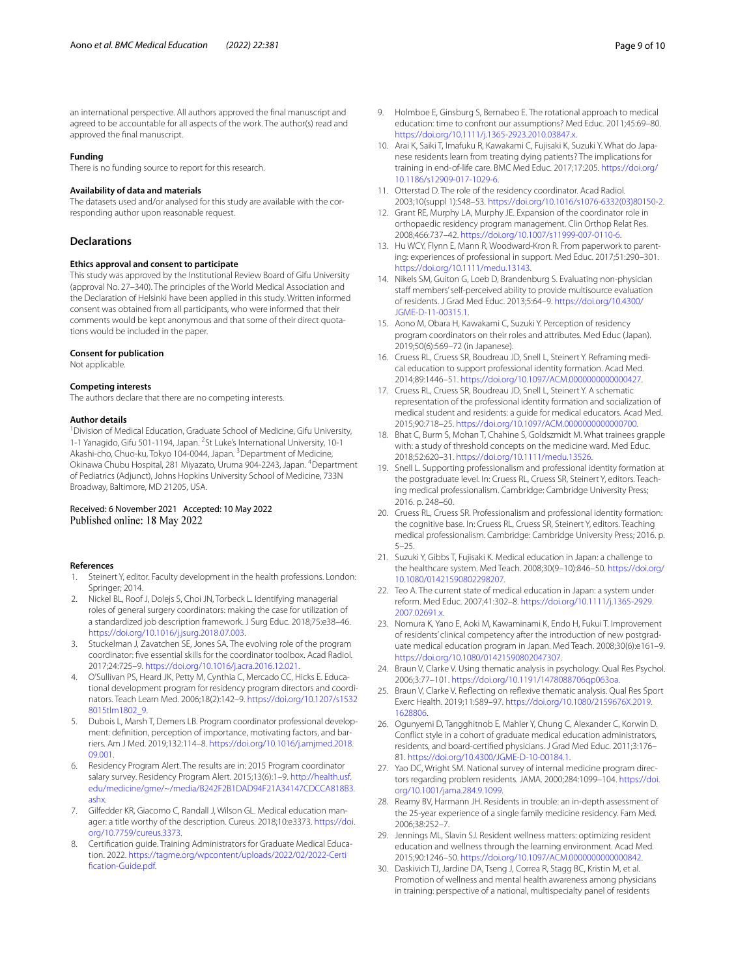an international perspective. All authors approved the fnal manuscript and agreed to be accountable for all aspects of the work. The author(s) read and approved the fnal manuscript.

#### **Funding**

There is no funding source to report for this research.

## **Availability of data and materials**

The datasets used and/or analysed for this study are available with the corresponding author upon reasonable request.

# **Declarations**

#### **Ethics approval and consent to participate**

This study was approved by the Institutional Review Board of Gifu University (approval No. 27–340). The principles of the World Medical Association and the Declaration of Helsinki have been applied in this study. Written informed consent was obtained from all participants, who were informed that their comments would be kept anonymous and that some of their direct quotations would be included in the paper.

#### **Consent for publication**

Not applicable.

#### **Competing interests**

The authors declare that there are no competing interests.

#### **Author details**

<sup>1</sup> Division of Medical Education, Graduate School of Medicine, Gifu University, 1-1 Yanagido, Gifu 501-1194, Japan. <sup>2</sup>St Luke's International University, 10-1 Akashi-cho, Chuo-ku, Tokyo 104-0044, Japan. <sup>3</sup> Department of Medicine, Okinawa Chubu Hospital, 281 Miyazato, Uruma 904-2243, Japan. <sup>4</sup>Department of Pediatrics (Adjunct), Johns Hopkins University School of Medicine, 733N Broadway, Baltimore, MD 21205, USA.

#### Received: 6 November 2021 Accepted: 10 May 2022 Published online: 18 May 2022

#### **References**

- <span id="page-8-0"></span>1. Steinert Y, editor. Faculty development in the health professions. London: Springer; 2014.
- <span id="page-8-1"></span>2. Nickel BL, Roof J, Dolejs S, Choi JN, Torbeck L. Identifying managerial roles of general surgery coordinators: making the case for utilization of a standardized job description framework. J Surg Educ. 2018;75:e38–46. [https://doi.org/10.1016/j.jsurg.2018.07.003.](https://doi.org/10.1016/j.jsurg.2018.07.003)
- <span id="page-8-2"></span>3. Stuckelman J, Zavatchen SE, Jones SA. The evolving role of the program coordinator: fve essential skills for the coordinator toolbox. Acad Radiol. 2017;24:725–9. <https://doi.org/10.1016/j.acra.2016.12.021>.
- <span id="page-8-3"></span>4. O'Sullivan PS, Heard JK, Petty M, Cynthia C, Mercado CC, Hicks E. Educational development program for residency program directors and coordinators. Teach Learn Med. 2006;18(2):142–9. [https://doi.org/10.1207/s1532](https://doi.org/10.1207/s15328015tlm1802_9) [8015tlm1802\\_9](https://doi.org/10.1207/s15328015tlm1802_9).
- <span id="page-8-4"></span>5. Dubois L, Marsh T, Demers LB. Program coordinator professional development: defnition, perception of importance, motivating factors, and barriers. Am J Med. 2019;132:114–8. [https://doi.org/10.1016/j.amjmed.2018.](https://doi.org/10.1016/j.amjmed.2018.09.001) [09.001](https://doi.org/10.1016/j.amjmed.2018.09.001).
- <span id="page-8-5"></span>6. Residency Program Alert. The results are in: 2015 Program coordinator salary survey. Residency Program Alert. 2015;13(6):1–9. [http://health.usf.](http://health.usf.edu/medicine/gme/~/media/B242F2B1DAD94F21A34147CDCCA818B3.ashx) [edu/medicine/gme/~/media/B242F2B1DAD94F21A34147CDCCA818B3.](http://health.usf.edu/medicine/gme/~/media/B242F2B1DAD94F21A34147CDCCA818B3.ashx) [ashx](http://health.usf.edu/medicine/gme/~/media/B242F2B1DAD94F21A34147CDCCA818B3.ashx).
- <span id="page-8-6"></span>7. Gilfedder KR, Giacomo C, Randall J, Wilson GL. Medical education manager: a title worthy of the description. Cureus. 2018;10:e3373. [https://doi.](https://doi.org/10.7759/cureus.3373) [org/10.7759/cureus.3373](https://doi.org/10.7759/cureus.3373).
- <span id="page-8-7"></span>8. Certifcation guide. Training Administrators for Graduate Medical Education. 2022. [https://tagme.org/wpcontent/uploads/2022/02/2022-Certi](https://tagme.org/wpcontent/uploads/2022/02/2022-Certification-Guide.pdf) [fcation-Guide.pdf](https://tagme.org/wpcontent/uploads/2022/02/2022-Certification-Guide.pdf).
- <span id="page-8-8"></span>9. Holmboe E, Ginsburg S, Bernabeo E. The rotational approach to medical education: time to confront our assumptions? Med Educ. 2011;45:69–80. [https://doi.org/10.1111/j.1365-2923.2010.03847.x.](https://doi.org/10.1111/j.1365-2923.2010.03847.x)
- <span id="page-8-9"></span>10. Arai K, Saiki T, Imafuku R, Kawakami C, Fujisaki K, Suzuki Y. What do Japanese residents learn from treating dying patients? The implications for training in end-of-life care. BMC Med Educ. 2017;17:205. [https://doi.org/](https://doi.org/10.1186/s12909-017-1029-6) [10.1186/s12909-017-1029-6.](https://doi.org/10.1186/s12909-017-1029-6)
- <span id="page-8-10"></span>11. Otterstad D. The role of the residency coordinator. Acad Radiol. 2003;10(suppl 1):S48–53. [https://doi.org/10.1016/s1076-6332\(03\)80150-2.](https://doi.org/10.1016/s1076-6332(03)80150-2)
- <span id="page-8-11"></span>12. Grant RE, Murphy LA, Murphy JE. Expansion of the coordinator role in orthopaedic residency program management. Clin Orthop Relat Res. 2008;466:737–42. [https://doi.org/10.1007/s11999-007-0110-6.](https://doi.org/10.1007/s11999-007-0110-6)
- <span id="page-8-12"></span>13. Hu WCY, Flynn E, Mann R, Woodward-Kron R. From paperwork to parenting: experiences of professional in support. Med Educ. 2017;51:290–301. [https://doi.org/10.1111/medu.13143.](https://doi.org/10.1111/medu.13143)
- <span id="page-8-13"></span>14. Nikels SM, Guiton G, Loeb D, Brandenburg S. Evaluating non-physician staff members' self-perceived ability to provide multisource evaluation of residents. J Grad Med Educ. 2013;5:64–9. [https://doi.org/10.4300/](https://doi.org/10.4300/JGME-D-11-00315.1) [JGME-D-11-00315.1.](https://doi.org/10.4300/JGME-D-11-00315.1)
- <span id="page-8-14"></span>15. Aono M, Obara H, Kawakami C, Suzuki Y. Perception of residency program coordinators on their roles and attributes. Med Educ (Japan). 2019;50(6):569–72 (in Japanese).
- <span id="page-8-15"></span>16. Cruess RL, Cruess SR, Boudreau JD, Snell L, Steinert Y. Reframing medical education to support professional identity formation. Acad Med. 2014;89:1446–51. <https://doi.org/10.1097/ACM.0000000000000427>.
- <span id="page-8-16"></span>17. Cruess RL, Cruess SR, Boudreau JD, Snell L, Steinert Y. A schematic representation of the professional identity formation and socialization of medical student and residents: a guide for medical educators. Acad Med. 2015;90:718–25.<https://doi.org/10.1097/ACM.0000000000000700>.
- <span id="page-8-17"></span>18. Bhat C, Burm S, Mohan T, Chahine S, Goldszmidt M. What trainees grapple with: a study of threshold concepts on the medicine ward. Med Educ. 2018;52:620–31. [https://doi.org/10.1111/medu.13526.](https://doi.org/10.1111/medu.13526)
- <span id="page-8-18"></span>19. Snell L. Supporting professionalism and professional identity formation at the postgraduate level. In: Cruess RL, Cruess SR, Steinert Y, editors. Teaching medical professionalism. Cambridge: Cambridge University Press; 2016. p. 248–60.
- <span id="page-8-19"></span>20. Cruess RL, Cruess SR. Professionalism and professional identity formation: the cognitive base. In: Cruess RL, Cruess SR, Steinert Y, editors. Teaching medical professionalism. Cambridge: Cambridge University Press; 2016. p. 5–25.
- <span id="page-8-20"></span>21. Suzuki Y, Gibbs T, Fujisaki K. Medical education in Japan: a challenge to the healthcare system. Med Teach. 2008;30(9–10):846–50. [https://doi.org/](https://doi.org/10.1080/01421590802298207) [10.1080/01421590802298207.](https://doi.org/10.1080/01421590802298207)
- <span id="page-8-21"></span>22. Teo A. The current state of medical education in Japan: a system under reform. Med Educ. 2007;41:302–8. [https://doi.org/10.1111/j.1365-2929.](https://doi.org/10.1111/j.1365-2929.2007.02691.x) [2007.02691.x](https://doi.org/10.1111/j.1365-2929.2007.02691.x).
- <span id="page-8-22"></span>23. Nomura K, Yano E, Aoki M, Kawaminami K, Endo H, Fukui T. Improvement of residents' clinical competency after the introduction of new postgraduate medical education program in Japan. Med Teach. 2008;30(6):e161–9. [https://doi.org/10.1080/01421590802047307.](https://doi.org/10.1080/01421590802047307)
- <span id="page-8-23"></span>24. Braun V, Clarke V. Using thematic analysis in psychology. Qual Res Psychol. 2006;3:77–101. [https://doi.org/10.1191/1478088706qp063oa.](https://doi.org/10.1191/1478088706qp063oa)
- <span id="page-8-24"></span>25. Braun V, Clarke V. Refecting on refexive thematic analysis. Qual Res Sport Exerc Health. 2019;11:589–97. [https://doi.org/10.1080/2159676X.2019.](https://doi.org/10.1080/2159676X.2019.1628806) [1628806](https://doi.org/10.1080/2159676X.2019.1628806).
- <span id="page-8-25"></span>26. Ogunyemi D, Tangghitnob E, Mahler Y, Chung C, Alexander C, Korwin D. Confict style in a cohort of graduate medical education administrators, residents, and board-certifed physicians. J Grad Med Educ. 2011;3:176– 81. [https://doi.org/10.4300/JGME-D-10-00184.1.](https://doi.org/10.4300/JGME-D-10-00184.1)
- <span id="page-8-26"></span>27. Yao DC, Wright SM. National survey of internal medicine program directors regarding problem residents. JAMA. 2000;284:1099–104. [https://doi.](https://doi.org/10.1001/jama.284.9.1099) [org/10.1001/jama.284.9.1099](https://doi.org/10.1001/jama.284.9.1099).
- <span id="page-8-27"></span>28. Reamy BV, Harmann JH. Residents in trouble: an in-depth assessment of the 25-year experience of a single family medicine residency. Fam Med. 2006;38:252–7.
- <span id="page-8-28"></span>29. Jennings ML, Slavin SJ. Resident wellness matters: optimizing resident education and wellness through the learning environment. Acad Med. 2015;90:1246–50. <https://doi.org/10.1097/ACM.0000000000000842>.
- <span id="page-8-29"></span>30. Daskivich TJ, Jardine DA, Tseng J, Correa R, Stagg BC, Kristin M, et al. Promotion of wellness and mental health awareness among physicians in training: perspective of a national, multispecialty panel of residents